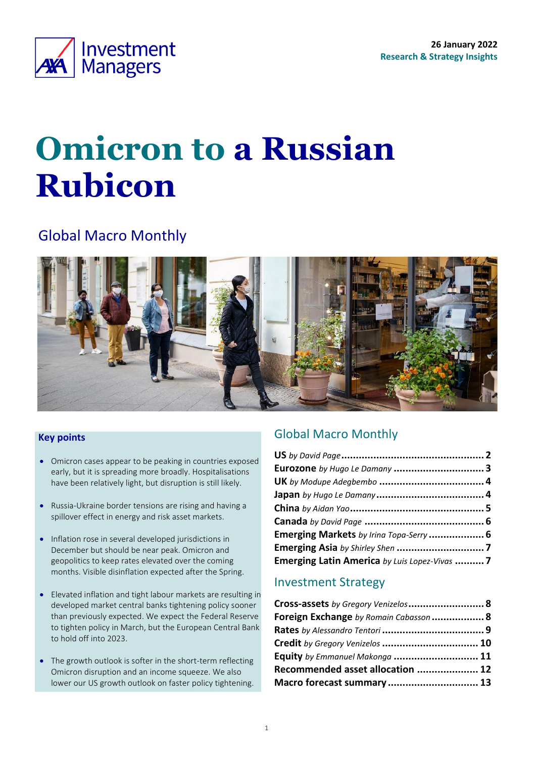<span id="page-0-0"></span>

# **Omicron to a Russian Rubicon**

# Global Macro Monthly



### **Key points**

- Omicron cases appear to be peaking in countries exposed early, but it is spreading more broadly. Hospitalisations have been relatively light, but disruption is still likely.
- Russia-Ukraine border tensions are rising and having a spillover effect in energy and risk asset markets.
- Inflation rose in several developed jurisdictions in December but should be near peak. Omicron and geopolitics to keep rates elevated over the coming months. Visible disinflation expected after the Spring.
- Elevated inflation and tight labour markets are resulting in developed market central banks tightening policy sooner than previously expected. We expect the Federal Reserve to tighten policy in March, but the European Central Bank to hold off into 2023.
- The growth outlook is softer in the short-term reflecting Omicron disruption and an income squeeze. We also lower our US growth outlook on faster policy tightening.

### Global Macro Monthly

| Eurozone by Hugo Le Damany  3                 |  |
|-----------------------------------------------|--|
|                                               |  |
|                                               |  |
|                                               |  |
|                                               |  |
| Emerging Markets by Irina Topa-Serry  6       |  |
|                                               |  |
| Emerging Latin America by Luis Lopez-Vivas  7 |  |

### Investment Strategy

| Cross-assets by Gregory Venizelos 8    |  |
|----------------------------------------|--|
| Foreign Exchange by Romain Cabasson  8 |  |
|                                        |  |
| Credit by Gregory Venizelos  10        |  |
| Equity by Emmanuel Makonga  11         |  |
| Recommended asset allocation  12       |  |
| Macro forecast summary 13              |  |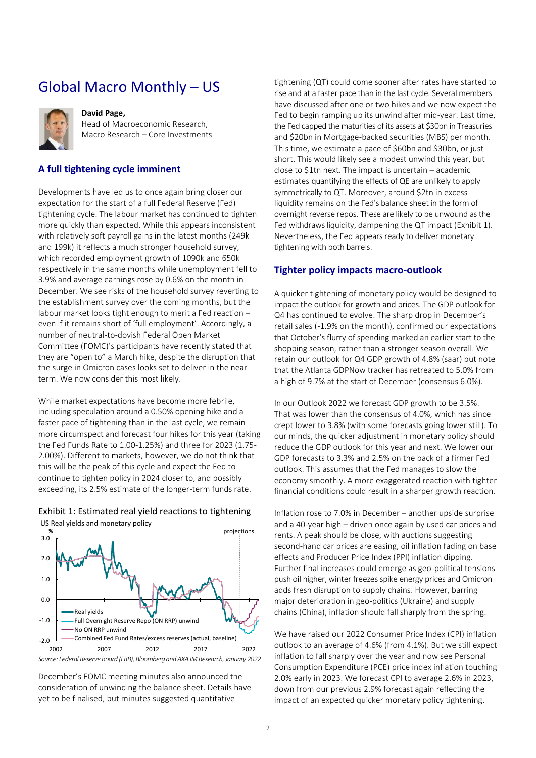# <span id="page-1-0"></span>Global Macro Monthly – US



### **David Page,**

Head of Macroeconomic Research, Macro Research – Core Investments

### **A full tightening cycle imminent**

Developments have led us to once again bring closer our expectation for the start of a full Federal Reserve (Fed) tightening cycle. The labour market has continued to tighten more quickly than expected. While this appears inconsistent with relatively soft payroll gains in the latest months (249k and 199k) it reflects a much stronger household survey, which recorded employment growth of 1090k and 650k respectively in the same months while unemployment fell to 3.9% and average earnings rose by 0.6% on the month in December. We see risks of the household survey reverting to the establishment survey over the coming months, but the labour market looks tight enough to merit a Fed reaction – even if it remains short of 'full employment'. Accordingly, a number of neutral-to-dovish Federal Open Market Committee (FOMC)'s participants have recently stated that they are "open to" a March hike, despite the disruption that the surge in Omicron cases looks set to deliver in the near term. We now consider this most likely.

While market expectations have become more febrile, including speculation around a 0.50% opening hike and a faster pace of tightening than in the last cycle, we remain more circumspect and forecast four hikes for this year (taking the Fed Funds Rate to 1.00-1.25%) and three for 2023 (1.75- 2.00%). Different to markets, however, we do not think that this will be the peak of this cycle and expect the Fed to continue to tighten policy in 2024 closer to, and possibly exceeding, its 2.5% estimate of the longer-term funds rate.



### <span id="page-1-1"></span>Exhibit 1: Estimated real yield reactions to tightening

December's FOMC meeting minutes also announced the consideration of unwinding the balance sheet. Details have yet to be finalised, but minutes suggested quantitative

tightening (QT) could come sooner after rates have started to rise and at a faster pace than in the last cycle. Several members have discussed after one or two hikes and we now expect the Fed to begin ramping up its unwind after mid-year. Last time, the Fed capped the maturities of its assets at \$30bn in Treasuries and \$20bn in Mortgage-backed securities (MBS) per month. This time, we estimate a pace of \$60bn and \$30bn, or just short. This would likely see a modest unwind this year, but close to \$1tn next. The impact is uncertain – academic estimates quantifying the effects of QE are unlikely to apply symmetrically to QT. Moreover, around \$2tn in excess liquidity remains on the Fed's balance sheet in the form of overnight reverse repos. These are likely to be unwound as the Fed withdraws liquidity, dampening the QT impact [\(Exhibit 1\)](#page-1-1). Nevertheless, the Fed appears ready to deliver monetary tightening with both barrels.

### **Tighter policy impacts macro-outlook**

A quicker tightening of monetary policy would be designed to impact the outlook for growth and prices. The GDP outlook for Q4 has continued to evolve. The sharp drop in December's retail sales (-1.9% on the month), confirmed our expectations that October's flurry of spending marked an earlier start to the shopping season, rather than a stronger season overall. We retain our outlook for Q4 GDP growth of 4.8% (saar) but note that the Atlanta GDPNow tracker has retreated to 5.0% from a high of 9.7% at the start of December (consensus 6.0%).

In our Outlook 2022 we forecast GDP growth to be 3.5%. That was lower than the consensus of 4.0%, which has since crept lower to 3.8% (with some forecasts going lower still). To our minds, the quicker adjustment in monetary policy should reduce the GDP outlook for this year and next. We lower our GDP forecasts to 3.3% and 2.5% on the back of a firmer Fed outlook. This assumes that the Fed manages to slow the economy smoothly. A more exaggerated reaction with tighter financial conditions could result in a sharper growth reaction.

Inflation rose to 7.0% in December – another upside surprise and a 40-year high – driven once again by used car prices and rents. A peak should be close, with auctions suggesting second-hand car prices are easing, oil inflation fading on base effects and Producer Price Index (PPI) inflation dipping. Further final increases could emerge as geo-political tensions push oil higher, winter freezes spike energy prices and Omicron adds fresh disruption to supply chains. However, barring major deterioration in geo-politics (Ukraine) and supply chains (China), inflation should fall sharply from the spring.

We have raised our 2022 Consumer Price Index (CPI) inflation outlook to an average of 4.6% (from 4.1%). But we still expect inflation to fall sharply over the year and now see Personal Consumption Expenditure (PCE) price index inflation touching 2.0% early in 2023. We forecast CPI to average 2.6% in 2023, down from our previous 2.9% forecast again reflecting the impact of an expected quicker monetary policy tightening.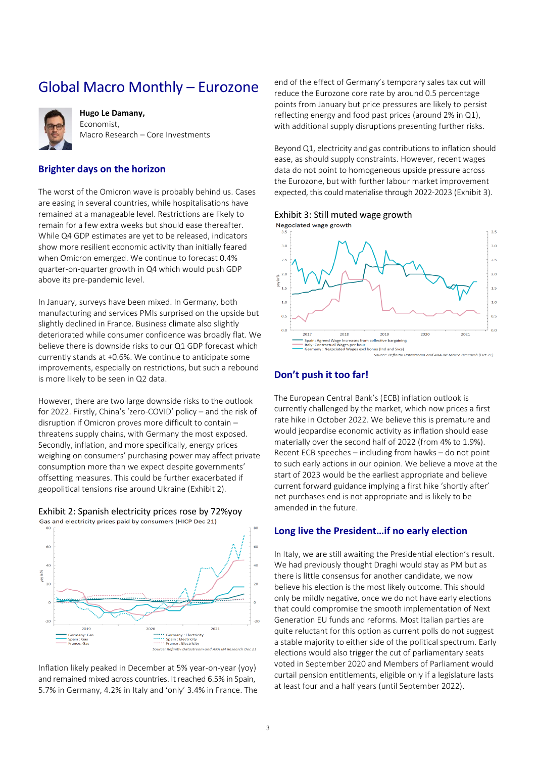### <span id="page-2-0"></span>Global Macro Monthly – Eurozone



**Hugo Le Damany,**  Economist, Macro Research – Core Investments

### **Brighter days on the horizon**

The worst of the Omicron wave is probably behind us. Cases are easing in several countries, while hospitalisations have remained at a manageable level. Restrictions are likely to remain for a few extra weeks but should ease thereafter. While Q4 GDP estimates are yet to be released, indicators show more resilient economic activity than initially feared when Omicron emerged. We continue to forecast 0.4% quarter-on-quarter growth in Q4 which would push GDP above its pre-pandemic level.

In January, surveys have been mixed. In Germany, both manufacturing and services PMIs surprised on the upside but slightly declined in France. Business climate also slightly deteriorated while consumer confidence was broadly flat. We believe there is downside risks to our Q1 GDP forecast which currently stands at +0.6%. We continue to anticipate some improvements, especially on restrictions, but such a rebound is more likely to be seen in Q2 data.

However, there are two large downside risks to the outlook for 2022. Firstly, China's 'zero-COVID' policy – and the risk of disruption if Omicron proves more difficult to contain – threatens supply chains, with Germany the most exposed. Secondly, inflation, and more specifically, energy prices weighing on consumers' purchasing power may affect private consumption more than we expect despite governments' offsetting measures. This could be further exacerbated if geopolitical tensions rise around Ukraine [\(Exhibit 2\)](#page-2-1).

<span id="page-2-1"></span>



Inflation likely peaked in December at 5% year-on-year (yoy) and remained mixed across countries. It reached 6.5% in Spain, 5.7% in Germany, 4.2% in Italy and 'only' 3.4% in France. The end of the effect of Germany's temporary sales tax cut will reduce the Eurozone core rate by around 0.5 percentage points from January but price pressures are likely to persist reflecting energy and food past prices (around 2% in Q1), with additional supply disruptions presenting further risks.

Beyond Q1, electricity and gas contributions to inflation should ease, as should supply constraints. However, recent wages data do not point to homogeneous upside pressure across the Eurozone, but with further labour market improvement expected, this could materialise through 2022-2023 [\(Exhibit 3\)](#page-2-2).

#### <span id="page-2-2"></span>Exhibit 3: Still muted wage growth



### **Don't push it too far!**

The European Central Bank's (ECB) inflation outlook is currently challenged by the market, which now prices a first rate hike in October 2022. We believe this is premature and would jeopardise economic activity as inflation should ease materially over the second half of 2022 (from 4% to 1.9%). Recent ECB speeches – including from hawks – do not point to such early actions in our opinion. We believe a move at the start of 2023 would be the earliest appropriate and believe current forward guidance implying a first hike 'shortly after' net purchases end is not appropriate and is likely to be amended in the future.

### **Long live the President…if no early election**

In Italy, we are still awaiting the Presidential election's result. We had previously thought Draghi would stay as PM but as there is little consensus for another candidate, we now believe his election is the most likely outcome. This should only be mildly negative, once we do not have early elections that could compromise the smooth implementation of Next Generation EU funds and reforms. Most Italian parties are quite reluctant for this option as current polls do not suggest a stable majority to either side of the political spectrum. Early elections would also trigger the cut of parliamentary seats voted in September 2020 and Members of Parliament would curtail pension entitlements, eligible only if a legislature lasts at least four and a half years (until September 2022).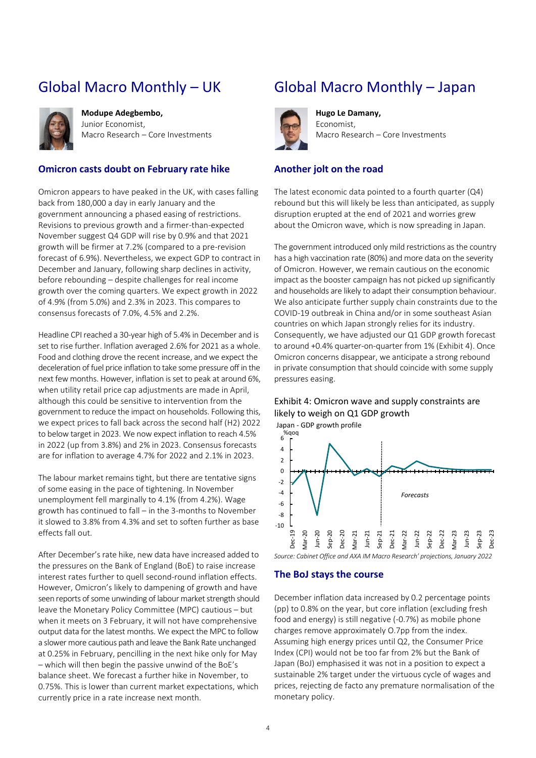# <span id="page-3-0"></span>Global Macro Monthly – UK



**Modupe Adegbembo,**  Junior Economist, Macro Research – Core Investments

### **Omicron casts doubt on February rate hike**

Omicron appears to have peaked in the UK, with cases falling back from 180,000 a day in early January and the government announcing a phased easing of restrictions. Revisions to previous growth and a firmer-than-expected November suggest Q4 GDP will rise by 0.9% and that 2021 growth will be firmer at 7.2% (compared to a pre-revision forecast of 6.9%). Nevertheless, we expect GDP to contract in December and January, following sharp declines in activity, before rebounding – despite challenges for real income growth over the coming quarters. We expect growth in 2022 of 4.9% (from 5.0%) and 2.3% in 2023. This compares to consensus forecasts of 7.0%, 4.5% and 2.2%.

Headline CPI reached a 30-year high of 5.4% in December and is set to rise further. Inflation averaged 2.6% for 2021 as a whole. Food and clothing drove the recent increase, and we expect the deceleration of fuel price inflation to take some pressure off in the next few months. However, inflation is set to peak at around 6%, when utility retail price cap adjustments are made in April, although this could be sensitive to intervention from the government to reduce the impact on households. Following this, we expect prices to fall back across the second half (H2) 2022 to below target in 2023. We now expect inflation to reach 4.5% in 2022 (up from 3.8%) and 2% in 2023. Consensus forecasts are for inflation to average 4.7% for 2022 and 2.1% in 2023.

The labour market remains tight, but there are tentative signs of some easing in the pace of tightening. In November unemployment fell marginally to 4.1% (from 4.2%). Wage growth has continued to fall – in the 3-months to November it slowed to 3.8% from 4.3% and set to soften further as base effects fall out.

After December's rate hike, new data have increased added to the pressures on the Bank of England (BoE) to raise increase interest rates further to quell second-round inflation effects. However, Omicron's likely to dampening of growth and have seen reports of some unwinding of labour market strength should leave the Monetary Policy Committee (MPC) cautious – but when it meets on 3 February, it will not have comprehensive output data for the latest months. We expect the MPC to follow a slower more cautious path and leave the Bank Rate unchanged at 0.25% in February, pencilling in the next hike only for May – which will then begin the passive unwind of the BoE's balance sheet. We forecast a further hike in November, to 0.75%. This is lower than current market expectations, which currently price in a rate increase next month.

### <span id="page-3-1"></span>Global Macro Monthly – Japan



**Hugo Le Damany,**  Economist, Macro Research – Core Investments

### **Another jolt on the road**

The latest economic data pointed to a fourth quarter (Q4) rebound but this will likely be less than anticipated, as supply disruption erupted at the end of 2021 and worries grew about the Omicron wave, which is now spreading in Japan.

The government introduced only mild restrictions as the country has a high vaccination rate (80%) and more data on the severity of Omicron. However, we remain cautious on the economic impact as the booster campaign has not picked up significantly and households are likely to adapt their consumption behaviour. We also anticipate further supply chain constraints due to the COVID-19 outbreak in China and/or in some southeast Asian countries on which Japan strongly relies for its industry. Consequently, we have adjusted our Q1 GDP growth forecast to around +0.4% quarter-on-quarter from 1% [\(Exhibit 4\)](#page-3-2). Once Omicron concerns disappear, we anticipate a strong rebound in private consumption that should coincide with some supply pressures easing.

### <span id="page-3-2"></span>Exhibit 4: Omicron wave and supply constraints are likely to weigh on Q1 GDP growth

-10 -8 -6 -4 -2  $\Omega$ 2 4 6 %qoq Dec-19 Mar-20 Jun-20 Sep-20 Dec-20 Mar-21 Jun-21 Sep-21 Dec-21 Mar-22 Jun-22 Sep-22 Dec-22 Mar-23 Jun-23 Sep-23 Dec-23 Japan - GDP growth profile *Forecasts*

*Source: Cabinet Office and AXA IM Macro Research' projections, January 2022*

### **The BoJ stays the course**

December inflation data increased by 0.2 percentage points (pp) to 0.8% on the year, but core inflation (excluding fresh food and energy) is still negative (-0.7%) as mobile phone charges remove approximately O.7pp from the index. Assuming high energy prices until Q2, the Consumer Price Index (CPI) would not be too far from 2% but the Bank of Japan (BoJ) emphasised it was not in a position to expect a sustainable 2% target under the virtuous cycle of wages and prices, rejecting de facto any premature normalisation of the monetary policy.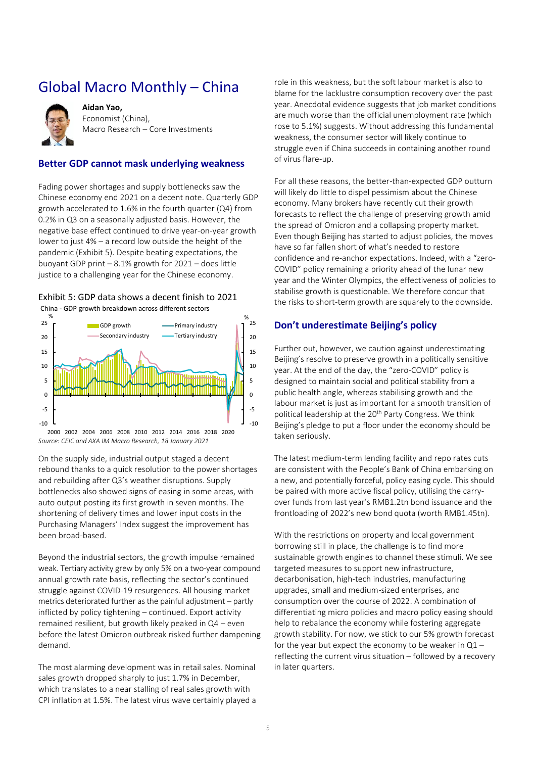# <span id="page-4-0"></span>Global Macro Monthly – China



**Aidan Yao,**  Economist (China), Macro Research – Core Investments

### **Better GDP cannot mask underlying weakness**

Fading power shortages and supply bottlenecks saw the Chinese economy end 2021 on a decent note. Quarterly GDP growth accelerated to 1.6% in the fourth quarter (Q4) from 0.2% in Q3 on a seasonally adjusted basis. However, the negative base effect continued to drive year-on-year growth lower to just 4% – a record low outside the height of the pandemic [\(Exhibit 5\)](#page-4-1). Despite beating expectations, the buoyant GDP print – 8.1% growth for 2021 – does little justice to a challenging year for the Chinese economy.

### <span id="page-4-1"></span>Exhibit 5: GDP data shows a decent finish to 2021 China - GDP growth breakdown across different sectors



*Source: CEIC and AXA IM Macro Research, 18 January 2021* 2000 2002 2004 2006 2008 2010 2012 2014 2016 2018 2020

On the supply side, industrial output staged a decent rebound thanks to a quick resolution to the power shortages and rebuilding after Q3's weather disruptions. Supply bottlenecks also showed signs of easing in some areas, with auto output posting its first growth in seven months. The shortening of delivery times and lower input costs in the Purchasing Managers' Index suggest the improvement has been broad-based.

Beyond the industrial sectors, the growth impulse remained weak. Tertiary activity grew by only 5% on a two-year compound annual growth rate basis, reflecting the sector's continued struggle against COVID-19 resurgences. All housing market metrics deteriorated further as the painful adjustment – partly inflicted by policy tightening – continued. Export activity remained resilient, but growth likely peaked in Q4 – even before the latest Omicron outbreak risked further dampening demand.

The most alarming development was in retail sales. Nominal sales growth dropped sharply to just 1.7% in December, which translates to a near stalling of real sales growth with CPI inflation at 1.5%. The latest virus wave certainly played a

role in this weakness, but the soft labour market is also to blame for the lacklustre consumption recovery over the past year. Anecdotal evidence suggests that job market conditions are much worse than the official unemployment rate (which rose to 5.1%) suggests. Without addressing this fundamental weakness, the consumer sector will likely continue to struggle even if China succeeds in containing another round of virus flare-up.

For all these reasons, the better-than-expected GDP outturn will likely do little to dispel pessimism about the Chinese economy. Many brokers have recently cut their growth forecasts to reflect the challenge of preserving growth amid the spread of Omicron and a collapsing property market. Even though Beijing has started to adjust policies, the moves have so far fallen short of what's needed to restore confidence and re-anchor expectations. Indeed, with a "zero-COVID" policy remaining a priority ahead of the lunar new year and the Winter Olympics, the effectiveness of policies to stabilise growth is questionable. We therefore concur that the risks to short-term growth are squarely to the downside.

### **Don't underestimate Beijing's policy**

Further out, however, we caution against underestimating Beijing's resolve to preserve growth in a politically sensitive year. At the end of the day, the "zero-COVID" policy is designed to maintain social and political stability from a public health angle, whereas stabilising growth and the labour market is just as important for a smooth transition of political leadership at the 20<sup>th</sup> Party Congress. We think Beijing's pledge to put a floor under the economy should be taken seriously.

The latest medium-term lending facility and repo rates cuts are consistent with the People's Bank of China embarking on a new, and potentially forceful, policy easing cycle. This should be paired with more active fiscal policy, utilising the carryover funds from last year's RMB1.2tn bond issuance and the frontloading of 2022's new bond quota (worth RMB1.45tn).

With the restrictions on property and local government borrowing still in place, the challenge is to find more sustainable growth engines to channel these stimuli. We see targeted measures to support new infrastructure, decarbonisation, high-tech industries, manufacturing upgrades, small and medium-sized enterprises, and consumption over the course of 2022. A combination of differentiating micro policies and macro policy easing should help to rebalance the economy while fostering aggregate growth stability. For now, we stick to our 5% growth forecast for the year but expect the economy to be weaker in Q1 – reflecting the current virus situation – followed by a recovery in later quarters.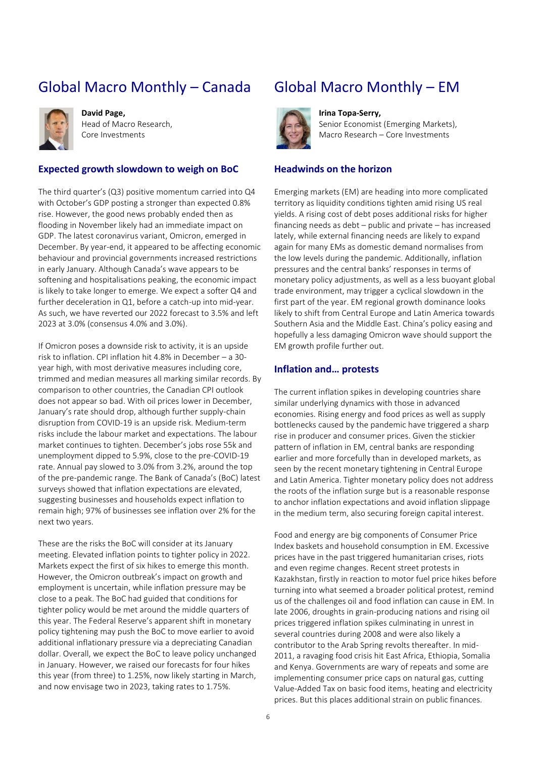# Global Macro Monthly – Canada



**David Page,**  Head of Macro Research, Core Investments

### **Expected growth slowdown to weigh on BoC**

The third quarter's (Q3) positive momentum carried into Q4 with October's GDP posting a stronger than expected 0.8% rise. However, the good news probably ended then as flooding in November likely had an immediate impact on GDP. The latest coronavirus variant, Omicron, emerged in December. By year-end, it appeared to be affecting economic behaviour and provincial governments increased restrictions in early January. Although Canada's wave appears to be softening and hospitalisations peaking, the economic impact is likely to take longer to emerge. We expect a softer Q4 and further deceleration in Q1, before a catch-up into mid-year. As such, we have reverted our 2022 forecast to 3.5% and left 2023 at 3.0% (consensus 4.0% and 3.0%).

If Omicron poses a downside risk to activity, it is an upside risk to inflation. CPI inflation hit 4.8% in December – a 30 year high, with most derivative measures including core, trimmed and median measures all marking similar records. By comparison to other countries, the Canadian CPI outlook does not appear so bad. With oil prices lower in December, January's rate should drop, although further supply-chain disruption from COVID-19 is an upside risk. Medium-term risks include the labour market and expectations. The labour market continues to tighten. December's jobs rose 55k and unemployment dipped to 5.9%, close to the pre-COVID-19 rate. Annual pay slowed to 3.0% from 3.2%, around the top of the pre-pandemic range. The Bank of Canada's (BoC) latest surveys showed that inflation expectations are elevated, suggesting businesses and households expect inflation to remain high; 97% of businesses see inflation over 2% for the next two years.

These are the risks the BoC will consider at its January meeting. Elevated inflation points to tighter policy in 2022. Markets expect the first of six hikes to emerge this month. However, the Omicron outbreak's impact on growth and employment is uncertain, while inflation pressure may be close to a peak. The BoC had guided that conditions for tighter policy would be met around the middle quarters of this year. The Federal Reserve's apparent shift in monetary policy tightening may push the BoC to move earlier to avoid additional inflationary pressure via a depreciating Canadian dollar. Overall, we expect the BoC to leave policy unchanged in January. However, we raised our forecasts for four hikes this year (from three) to 1.25%, now likely starting in March, and now envisage two in 2023, taking rates to 1.75%.

### <span id="page-5-0"></span>Global Macro Monthly – EM



**Irina Topa-Serry,**  Senior Economist (Emerging Markets), Macro Research – Core Investments

### **Headwinds on the horizon**

Emerging markets (EM) are heading into more complicated territory as liquidity conditions tighten amid rising US real yields. A rising cost of debt poses additional risks for higher financing needs as debt – public and private – has increased lately, while external financing needs are likely to expand again for many EMs as domestic demand normalises from the low levels during the pandemic. Additionally, inflation pressures and the central banks' responses in terms of monetary policy adjustments, as well as a less buoyant global trade environment, may trigger a cyclical slowdown in the first part of the year. EM regional growth dominance looks likely to shift from Central Europe and Latin America towards Southern Asia and the Middle East. China's policy easing and hopefully a less damaging Omicron wave should support the EM growth profile further out.

### **Inflation and… protests**

The current inflation spikes in developing countries share similar underlying dynamics with those in advanced economies. Rising energy and food prices as well as supply bottlenecks caused by the pandemic have triggered a sharp rise in producer and consumer prices. Given the stickier pattern of inflation in EM, central banks are responding earlier and more forcefully than in developed markets, as seen by the recent monetary tightening in Central Europe and Latin America. Tighter monetary policy does not address the roots of the inflation surge but is a reasonable response to anchor inflation expectations and avoid inflation slippage in the medium term, also securing foreign capital interest.

Food and energy are big components of Consumer Price Index baskets and household consumption in EM. Excessive prices have in the past triggered humanitarian crises, riots and even regime changes. Recent street protests in Kazakhstan, firstly in reaction to motor fuel price hikes before turning into what seemed a broader political protest, remind us of the challenges oil and food inflation can cause in EM. In late 2006, droughts in grain-producing nations and rising oil prices triggered inflation spikes culminating in unrest in several countries during 2008 and were also likely a contributor to the Arab Spring revolts thereafter. In mid-2011, a ravaging food crisis hit East Africa, Ethiopia, Somalia and Kenya. Governments are wary of repeats and some are implementing consumer price caps on natural gas, cutting Value-Added Tax on basic food items, heating and electricity prices. But this places additional strain on public finances.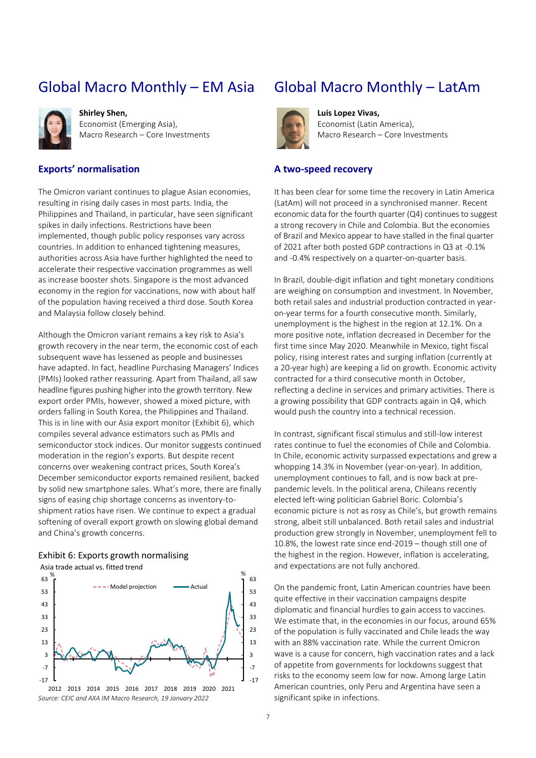# Global Macro Monthly – EM Asia



**Shirley Shen,**  Economist (Emerging Asia), Macro Research – Core Investments

### **Exports' normalisation**

The Omicron variant continues to plague Asian economies, resulting in rising daily cases in most parts. India, the Philippines and Thailand, in particular, have seen significant spikes in daily infections. Restrictions have been implemented, though public policy responses vary across countries. In addition to enhanced tightening measures, authorities across Asia have further highlighted the need to accelerate their respective vaccination programmes as well as increase booster shots. Singapore is the most advanced economy in the region for vaccinations, now with about half of the population having received a third dose. South Korea and Malaysia follow closely behind.

Although the Omicron variant remains a key risk to Asia's growth recovery in the near term, the economic cost of each subsequent wave has lessened as people and businesses have adapted. In fact, headline Purchasing Managers' Indices (PMIs) looked rather reassuring. Apart from Thailand, all saw headline figures pushing higher into the growth territory. New export order PMIs, however, showed a mixed picture, with orders falling in South Korea, the Philippines and Thailand. This is in line with our Asia export monitor [\(Exhibit 6\)](#page-6-0), which compiles several advance estimators such as PMIs and semiconductor stock indices. Our monitor suggests continued moderation in the region's exports. But despite recent concerns over weakening contract prices, South Korea's December semiconductor exports remained resilient, backed by solid new smartphone sales. What's more, there are finally signs of easing chip shortage concerns as inventory-toshipment ratios have risen. We continue to expect a gradual softening of overall export growth on slowing global demand and China's growth concerns.

### <span id="page-6-0"></span>Exhibit 6: Exports growth normalising

-7





### Global Macro Monthly – LatAm



**Luis Lopez Vivas,**  Economist (Latin America), Macro Research – Core Investments

### **A two-speed recovery**

It has been clear for some time the recovery in Latin America (LatAm) will not proceed in a synchronised manner. Recent economic data for the fourth quarter (Q4) continues to suggest a strong recovery in Chile and Colombia. But the economies of Brazil and Mexico appear to have stalled in the final quarter of 2021 after both posted GDP contractions in Q3 at -0.1% and -0.4% respectively on a quarter-on-quarter basis.

In Brazil, double-digit inflation and tight monetary conditions are weighing on consumption and investment. In November, both retail sales and industrial production contracted in yearon-year terms for a fourth consecutive month. Similarly, unemployment is the highest in the region at 12.1%. On a more positive note, inflation decreased in December for the first time since May 2020. Meanwhile in Mexico, tight fiscal policy, rising interest rates and surging inflation (currently at a 20-year high) are keeping a lid on growth. Economic activity contracted for a third consecutive month in October, reflecting a decline in services and primary activities. There is a growing possibility that GDP contracts again in Q4, which would push the country into a technical recession.

In contrast, significant fiscal stimulus and still-low interest rates continue to fuel the economies of Chile and Colombia. In Chile, economic activity surpassed expectations and grew a whopping 14.3% in November (year-on-year). In addition, unemployment continues to fall, and is now back at prepandemic levels. In the political arena, Chileans recently elected left-wing politician Gabriel Boric. Colombia's economic picture is not as rosy as Chile's, but growth remains strong, albeit still unbalanced. Both retail sales and industrial production grew strongly in November, unemployment fell to 10.8%, the lowest rate since end-2019 – though still one of the highest in the region. However, inflation is accelerating, and expectations are not fully anchored.

On the pandemic front, Latin American countries have been quite effective in their vaccination campaigns despite diplomatic and financial hurdles to gain access to vaccines. We estimate that, in the economies in our focus, around 65% of the population is fully vaccinated and Chile leads the way with an 88% vaccination rate. While the current Omicron wave is a cause for concern, high vaccination rates and a lack of appetite from governments for lockdowns suggest that risks to the economy seem low for now. Among large Latin American countries, only Peru and Argentina have seen a significant spike in infections.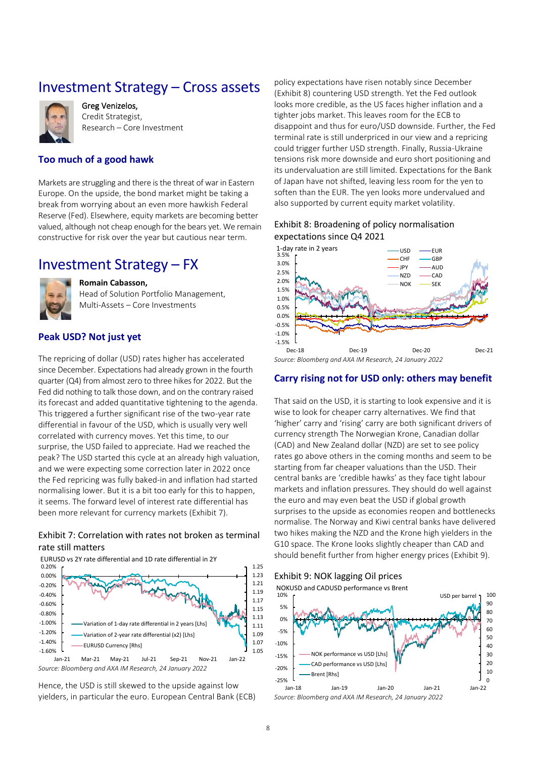### <span id="page-7-0"></span>Investment Strategy – Cross assets



Greg Venizelos, Credit Strategist, Research – Core Investment

### **Too much of a good hawk**

Markets are struggling and there is the threat of war in Eastern Europe. On the upside, the bond market might be taking a break from worrying about an even more hawkish Federal Reserve (Fed). Elsewhere, equity markets are becoming better valued, although not cheap enough for the bears yet. We remain constructive for risk over the year but cautious near term.

### <span id="page-7-1"></span>Investment Strategy – FX



**Romain Cabasson,** 

Head of Solution Portfolio Management, Multi-Assets – Core Investments

### **Peak USD? Not just yet**

The repricing of dollar (USD) rates higher has accelerated since December. Expectations had already grown in the fourth quarter (Q4) from almost zero to three hikes for 2022. But the Fed did nothing to talk those down, and on the contrary raised its forecast and added quantitative tightening to the agenda. This triggered a further significant rise of the two-year rate differential in favour of the USD, which is usually very well correlated with currency moves. Yet this time, to our surprise, the USD failed to appreciate. Had we reached the peak? The USD started this cycle at an already high valuation, and we were expecting some correction later in 2022 once the Fed repricing was fully baked-in and inflation had started normalising lower. But it is a bit too early for this to happen, it seems. The forward level of interest rate differential has been more relevant for currency markets [\(Exhibit 7\)](#page-7-2).

### <span id="page-7-2"></span>Exhibit 7: Correlation with rates not broken as terminal rate still matters



*Source: Bloomberg and AXA IM Research, 24 January 2022*

Hence, the USD is still skewed to the upside against low yielders, in particular the euro. European Central Bank (ECB)

policy expectations have risen notably since December [\(Exhibit 8\)](#page-7-3) countering USD strength. Yet the Fed outlook looks more credible, as the US faces higher inflation and a tighter jobs market. This leaves room for the ECB to disappoint and thus for euro/USD downside. Further, the Fed terminal rate is still underpriced in our view and a repricing could trigger further USD strength. Finally, Russia-Ukraine tensions risk more downside and euro short positioning and its undervaluation are still limited. Expectations for the Bank of Japan have not shifted, leaving less room for the yen to soften than the EUR. The yen looks more undervalued and also supported by current equity market volatility.

### <span id="page-7-3"></span>Exhibit 8: Broadening of policy normalisation expectations since Q4 2021



### **Carry rising not for USD only: others may benefit**

That said on the USD, it is starting to look expensive and it is wise to look for cheaper carry alternatives. We find that 'higher' carry and 'rising' carry are both significant drivers of currency strength The Norwegian Krone, Canadian dollar (CAD) and New Zealand dollar (NZD) are set to see policy rates go above others in the coming months and seem to be starting from far cheaper valuations than the USD. Their central banks are 'credible hawks' as they face tight labour markets and inflation pressures. They should do well against the euro and may even beat the USD if global growth surprises to the upside as economies reopen and bottlenecks normalise. The Norway and Kiwi central banks have delivered two hikes making the NZD and the Krone high yielders in the G10 space. The Krone looks slightly cheaper than CAD and should benefit further from higher energy prices [\(Exhibit 9\)](#page-7-4).

<span id="page-7-4"></span>Exhibit 9: NOK lagging Oil prices



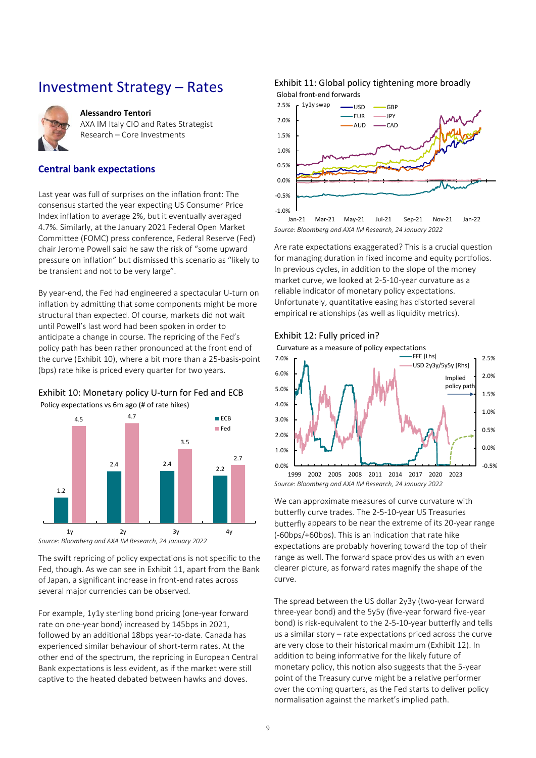### Investment Strategy – Rates

<span id="page-8-0"></span>

#### **Alessandro Tentori**

AXA IM Italy CIO and Rates Strategist Research – Core Investments

### **Central bank expectations**

Last year was full of surprises on the inflation front: The consensus started the year expecting US Consumer Price Index inflation to average 2%, but it eventually averaged 4.7%. Similarly, at the January 2021 Federal Open Market Committee (FOMC) press conference, Federal Reserve (Fed) chair Jerome Powell said he saw the risk of "some upward pressure on inflation" but dismissed this scenario as "likely to be transient and not to be very large".

By year-end, the Fed had engineered a spectacular U-turn on inflation by admitting that some components might be more structural than expected. Of course, markets did not wait until Powell's last word had been spoken in order to anticipate a change in course. The repricing of the Fed's policy path has been rather pronounced at the front end of the curve [\(Exhibit 10\)](#page-8-1), where a bit more than a 25-basis-point (bps) rate hike is priced every quarter for two years.

### <span id="page-8-1"></span>Exhibit 10: Monetary policy U-turn for Fed and ECB





*Source: Bloomberg and AXA IM Research, 24 January 2022*

The swift repricing of policy expectations is not specific to the Fed, though. As we can see i[n Exhibit 11,](#page-8-2) apart from the Bank of Japan, a significant increase in front-end rates across several major currencies can be observed.

For example, 1y1y sterling bond pricing (one-year forward rate on one-year bond) increased by 145bps in 2021, followed by an additional 18bps year-to-date. Canada has experienced similar behaviour of short-term rates. At the other end of the spectrum, the repricing in European Central Bank expectations is less evident, as if the market were still captive to the heated debated between hawks and doves.

#### <span id="page-8-2"></span>Exhibit 11: Global policy tightening more broadly Global front-end forwards



*Source: Bloomberg and AXA IM Research, 24 January 2022*

Are rate expectations exaggerated? This is a crucial question for managing duration in fixed income and equity portfolios. In previous cycles, in addition to the slope of the money market curve, we looked at 2-5-10-year curvature as a reliable indicator of monetary policy expectations. Unfortunately, quantitative easing has distorted several empirical relationships (as well as liquidity metrics).

### <span id="page-8-3"></span>Exhibit 12: Fully priced in?





*Source: Bloomberg and AXA IM Research, 24 January 2022*

We can approximate measures of curve curvature with butterfly curve trades. The 2-5-10-year US Treasuries butterfly appears to be near the extreme of its 20-year range (-60bps/+60bps). This is an indication that rate hike expectations are probably hovering toward the top of their range as well. The forward space provides us with an even clearer picture, as forward rates magnify the shape of the curve.

The spread between the US dollar 2y3y (two-year forward three-year bond) and the 5y5y (five-year forward five-year bond) is risk-equivalent to the 2-5-10-year butterfly and tells us a similar story – rate expectations priced across the curve are very close to their historical maximum [\(Exhibit 12\)](#page-8-3). In addition to being informative for the likely future of monetary policy, this notion also suggests that the 5-year point of the Treasury curve might be a relative performer over the coming quarters, as the Fed starts to deliver policy normalisation against the market's implied path.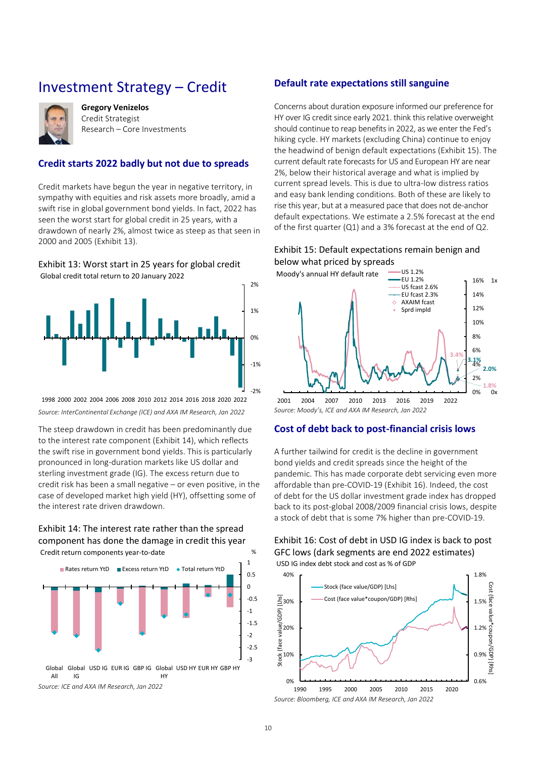### <span id="page-9-0"></span>Investment Strategy – Credit



**Gregory Venizelos** Credit Strategist Research – Core Investments

### **Credit starts 2022 badly but not due to spreads**

Credit markets have begun the year in negative territory, in sympathy with equities and risk assets more broadly, amid a swift rise in global government bond yields. In fact, 2022 has seen the worst start for global credit in 25 years, with a drawdown of nearly 2%, almost twice as steep as that seen in 2000 and 2005 [\(Exhibit 13\)](#page-9-1).

#### <span id="page-9-1"></span>Exhibit 13: Worst start in 25 years for global credit Global credit total return to 20 January 2022



*Source: InterContinental Exchange (ICE) and AXA IM Research, Jan 2022* 1998 2000 2002 2004 2006 2008 2010 2012 2014 2016 2018 2020 2022

The steep drawdown in credit has been predominantly due to the interest rate component [\(Exhibit 14\)](#page-9-2), which reflects the swift rise in government bond yields. This is particularly pronounced in long-duration markets like US dollar and sterling investment grade (IG). The excess return due to credit risk has been a small negative – or even positive, in the case of developed market high yield (HY), offsetting some of the interest rate driven drawdown.

### <span id="page-9-2"></span>Exhibit 14: The interest rate rather than the spread component has done the damage in credit this year Credit return components year-to-date %



### **Default rate expectations still sanguine**

Concerns about duration exposure informed our preference for HY over IG credit since early 2021. think this relative overweight should continue to reap benefits in 2022, as we enter the Fed's hiking cycle. HY markets (excluding China) continue to enjoy the headwind of benign default expectations [\(Exhibit 15\)](#page-9-3). The current default rate forecasts for US and European HY are near 2%, below their historical average and what is implied by current spread levels. This is due to ultra-low distress ratios and easy bank lending conditions. Both of these are likely to rise this year, but at a measured pace that does not de-anchor default expectations. We estimate a 2.5% forecast at the end of the first quarter (Q1) and a 3% forecast at the end of Q2.

### <span id="page-9-3"></span>Exhibit 15: Default expectations remain benign and below what priced by spreads



*Source: Moody's, ICE and AXA IM Research, Jan 2022*

### **Cost of debt back to post-financial crisis lows**

A further tailwind for credit is the decline in government bond yields and credit spreads since the height of the pandemic. This has made corporate debt servicing even more affordable than pre-COVID-19 [\(Exhibit 16\)](#page-9-4). Indeed, the cost of debt for the US dollar investment grade index has dropped back to its post-global 2008/2009 financial crisis lows, despite a stock of debt that is some 7% higher than pre-COVID-19.

### <span id="page-9-4"></span>Exhibit 16: Cost of debt in USD IG index is back to post GFC lows (dark segments are end 2022 estimates) USD IG index debt stock and cost as % of GDP

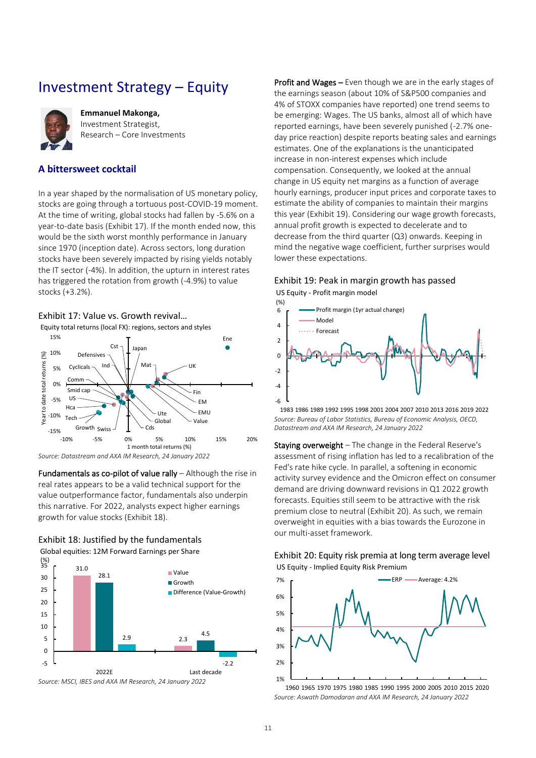# <span id="page-10-0"></span>Investment Strategy – Equity



**Emmanuel Makonga,**  Investment Strategist, Research – Core Investments

### **A bittersweet cocktail**

In a year shaped by the normalisation of US monetary policy, stocks are going through a tortuous post-COVID-19 moment. At the time of writing, global stocks had fallen by -5.6% on a year-to-date basis [\(Exhibit 17\)](#page-10-1). If the month ended now, this would be the sixth worst monthly performance in January since 1970 (inception date). Across sectors, long duration stocks have been severely impacted by rising yields notably the IT sector (-4%). In addition, the upturn in interest rates has triggered the rotation from growth (-4.9%) to value stocks (+3.2%).

#### <span id="page-10-1"></span>Exhibit 17: Value vs. Growth revival…

Equity total returns (local FX): regions, sectors and styles



*Source: Datastream and AXA IM Research, 24 January 2022*

Fundamentals as co-pilot of value rally – Although the rise in real rates appears to be a valid technical support for the value outperformance factor, fundamentals also underpin this narrative. For 2022, analysts expect higher earnings growth for value stocks [\(Exhibit 18\)](#page-10-2).

### <span id="page-10-2"></span>Exhibit 18: Justified by the fundamentals

Global equities: 12M Forward Earnings per Share



Profit and Wages – Even though we are in the early stages of the earnings season (about 10% of S&P500 companies and 4% of STOXX companies have reported) one trend seems to be emerging: Wages. The US banks, almost all of which have reported earnings, have been severely punished (-2.7% oneday price reaction) despite reports beating sales and earnings estimates. One of the explanations is the unanticipated increase in non-interest expenses which include compensation. Consequently, we looked at the annual change in US equity net margins as a function of average hourly earnings, producer input prices and corporate taxes to estimate the ability of companies to maintain their margins this year [\(Exhibit 19\)](#page-10-3). Considering our wage growth forecasts, annual profit growth is expected to decelerate and to decrease from the third quarter (Q3) onwards. Keeping in mind the negative wage coefficient, further surprises would lower these expectations.

#### <span id="page-10-3"></span>Exhibit 19: Peak in margin growth has passed US Equity - Profit margin model



*Source: Bureau of Labor Statistics, Bureau of Economic Analysis, OECD, Datastream and AXA IM Research, 24 January 2022* 1983 1986 1989 1992 1995 1998 2001 2004 2007 2010 2013 2016 2019 2022

Staying overweight – The change in the Federal Reserve's assessment of rising inflation has led to a recalibration of the Fed's rate hike cycle. In parallel, a softening in economic activity survey evidence and the Omicron effect on consumer demand are driving downward revisions in Q1 2022 growth forecasts. Equities still seem to be attractive with the risk premium close to neutral [\(Exhibit 20\)](#page-10-4). As such, we remain overweight in equities with a bias towards the Eurozone in our multi-asset framework.

### <span id="page-10-4"></span>Exhibit 20: Equity risk premia at long term average level US Equity - Implied Equity Risk Premium



*Source: Aswath Damodaran and AXA IM Research, 24 January 2022* 1960 1965 1970 1975 1980 1985 1990 1995 2000 2005 2010 2015 2020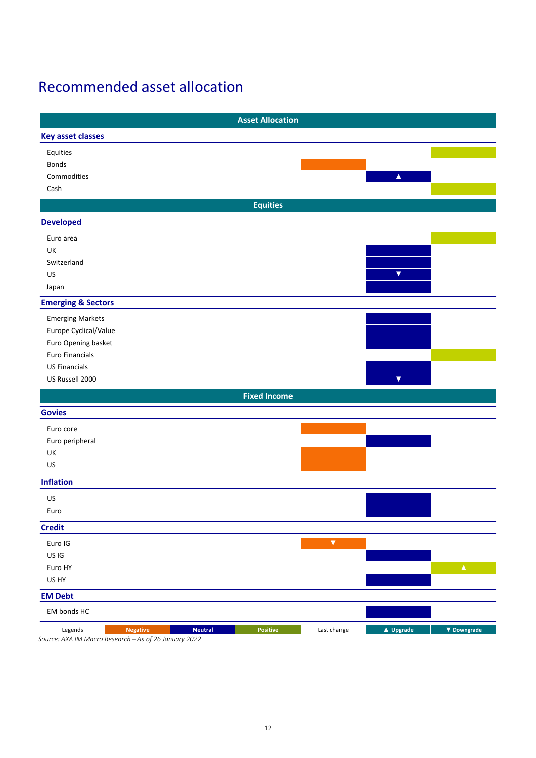# <span id="page-11-0"></span>Recommended asset allocation

|                                                                                                       | <b>Asset Allocation</b> |                          |
|-------------------------------------------------------------------------------------------------------|-------------------------|--------------------------|
| <b>Key asset classes</b>                                                                              |                         |                          |
| Equities                                                                                              |                         |                          |
| Bonds                                                                                                 |                         |                          |
| Commodities                                                                                           |                         | $\blacktriangle$         |
| Cash                                                                                                  |                         |                          |
|                                                                                                       | <b>Equities</b>         |                          |
| <b>Developed</b>                                                                                      |                         |                          |
| Euro area                                                                                             |                         |                          |
| UK                                                                                                    |                         |                          |
| Switzerland                                                                                           |                         |                          |
| US                                                                                                    |                         | $\blacktriangledown$     |
| Japan                                                                                                 |                         |                          |
| <b>Emerging &amp; Sectors</b>                                                                         |                         |                          |
| <b>Emerging Markets</b>                                                                               |                         |                          |
| Europe Cyclical/Value                                                                                 |                         |                          |
| Euro Opening basket                                                                                   |                         |                          |
| Euro Financials                                                                                       |                         |                          |
| <b>US Financials</b>                                                                                  |                         |                          |
| US Russell 2000                                                                                       |                         | $\blacktriangledown$     |
|                                                                                                       | <b>Fixed Income</b>     |                          |
| <b>Govies</b>                                                                                         |                         |                          |
| Euro core                                                                                             |                         |                          |
| Euro peripheral                                                                                       |                         |                          |
| UK                                                                                                    |                         |                          |
| US                                                                                                    |                         |                          |
| <b>Inflation</b>                                                                                      |                         |                          |
| US                                                                                                    |                         |                          |
| Euro                                                                                                  |                         |                          |
| <b>Credit</b>                                                                                         |                         |                          |
| Euro IG                                                                                               | $\blacktriangledown$    |                          |
| US IG                                                                                                 |                         |                          |
| Euro HY                                                                                               |                         | $\Delta_{\rm c}$         |
| US HY                                                                                                 |                         |                          |
| <b>EM Debt</b>                                                                                        |                         |                          |
| EM bonds HC                                                                                           |                         |                          |
| Legends<br><b>Neutral</b><br><b>Negative</b><br>Source: AXA IM Macro Research - As of 26 January 2022 | Positive<br>Last change | ▲ Upgrade<br>▼ Downgrade |

*Source: AXA IM Macro Research – As of 26 January 2022*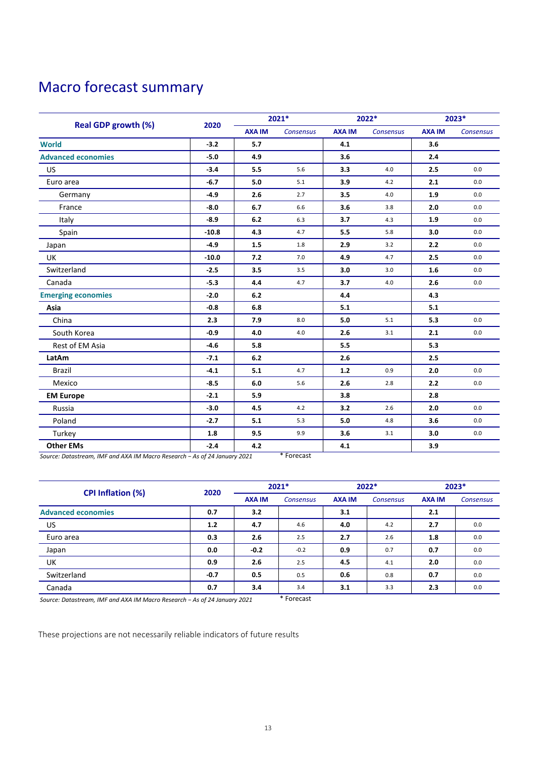# <span id="page-12-0"></span>Macro forecast summary

|                            | 2020    | 2021*         |                  | $2022*$       |                  | 2023*         |                  |
|----------------------------|---------|---------------|------------------|---------------|------------------|---------------|------------------|
| <b>Real GDP growth (%)</b> |         | <b>AXA IM</b> | <b>Consensus</b> | <b>AXA IM</b> | <b>Consensus</b> | <b>AXA IM</b> | <b>Consensus</b> |
| <b>World</b>               | $-3.2$  | 5.7           |                  | 4.1           |                  | 3.6           |                  |
| <b>Advanced economies</b>  | $-5.0$  | 4.9           |                  | 3.6           |                  | 2.4           |                  |
| US                         | $-3.4$  | 5.5           | 5.6              | 3.3           | 4.0              | 2.5           | 0.0              |
| Euro area                  | $-6.7$  | 5.0           | 5.1              | 3.9           | 4.2              | 2.1           | 0.0              |
| Germany                    | $-4.9$  | 2.6           | 2.7              | 3.5           | 4.0              | 1.9           | 0.0              |
| France                     | $-8.0$  | 6.7           | 6.6              | 3.6           | 3.8              | 2.0           | 0.0              |
| Italy                      | $-8.9$  | 6.2           | 6.3              | 3.7           | 4.3              | 1.9           | 0.0              |
| Spain                      | $-10.8$ | 4.3           | 4.7              | 5.5           | 5.8              | 3.0           | 0.0              |
| Japan                      | $-4.9$  | 1.5           | 1.8              | 2.9           | 3.2              | 2.2           | 0.0              |
| UK                         | $-10.0$ | 7.2           | 7.0              | 4.9           | 4.7              | 2.5           | 0.0              |
| Switzerland                | $-2.5$  | 3.5           | 3.5              | 3.0           | 3.0              | 1.6           | 0.0              |
| Canada                     | $-5.3$  | 4.4           | 4.7              | 3.7           | 4.0              | 2.6           | 0.0              |
| <b>Emerging economies</b>  | $-2.0$  | 6.2           |                  | 4.4           |                  | 4.3           |                  |
| Asia                       | $-0.8$  | 6.8           |                  | 5.1           |                  | 5.1           |                  |
| China                      | 2.3     | 7.9           | 8.0              | 5.0           | 5.1              | 5.3           | 0.0              |
| South Korea                | $-0.9$  | 4.0           | 4.0              | 2.6           | 3.1              | 2.1           | 0.0              |
| Rest of EM Asia            | $-4.6$  | 5.8           |                  | 5.5           |                  | 5.3           |                  |
| LatAm                      | $-7.1$  | 6.2           |                  | 2.6           |                  | 2.5           |                  |
| <b>Brazil</b>              | $-4.1$  | 5.1           | 4.7              | $1.2$         | 0.9              | 2.0           | 0.0              |
| Mexico                     | $-8.5$  | 6.0           | 5.6              | 2.6           | 2.8              | 2.2           | 0.0              |
| <b>EM Europe</b>           | $-2.1$  | 5.9           |                  | 3.8           |                  | 2.8           |                  |
| Russia                     | $-3.0$  | 4.5           | 4.2              | 3.2           | 2.6              | 2.0           | 0.0              |
| Poland                     | $-2.7$  | 5.1           | 5.3              | 5.0           | 4.8              | 3.6           | 0.0              |
| Turkey                     | 1.8     | 9.5           | 9.9              | 3.6           | 3.1              | 3.0           | 0.0              |
| <b>Other EMs</b>           | $-2.4$  | 4.2           |                  | 4.1           |                  | 3.9           |                  |

*Source: Datastream, IMF and AXA IM Macro Research − As of 24 January 2021* \* Forecast

| <b>CPI Inflation (%)</b>  | 2020   | 2021*         |                  | $2022*$       |                  | $2023*$       |                  |
|---------------------------|--------|---------------|------------------|---------------|------------------|---------------|------------------|
|                           |        | <b>AXA IM</b> | <b>Consensus</b> | <b>AXA IM</b> | <b>Consensus</b> | <b>AXA IM</b> | <b>Consensus</b> |
| <b>Advanced economies</b> | 0.7    | 3.2           |                  | 3.1           |                  | 2.1           |                  |
| US                        | 1.2    | 4.7           | 4.6              | 4.0           | 4.2              | 2.7           | 0.0              |
| Euro area                 | 0.3    | 2.6           | 2.5              | 2.7           | 2.6              | 1.8           | 0.0              |
| Japan                     | 0.0    | $-0.2$        | $-0.2$           | 0.9           | 0.7              | 0.7           | 0.0              |
| UK                        | 0.9    | 2.6           | 2.5              | 4.5           | 4.1              | 2.0           | 0.0              |
| Switzerland               | $-0.7$ | 0.5           | 0.5              | 0.6           | 0.8              | 0.7           | 0.0              |
| Canada                    | 0.7    | 3.4           | 3.4              | 3.1           | 3.3              | 2.3           | 0.0              |

*Source: Datastream, IMF and AXA IM Macro Research − As of 24 January 2021* \* Forecast

These projections are not necessarily reliable indicators of future results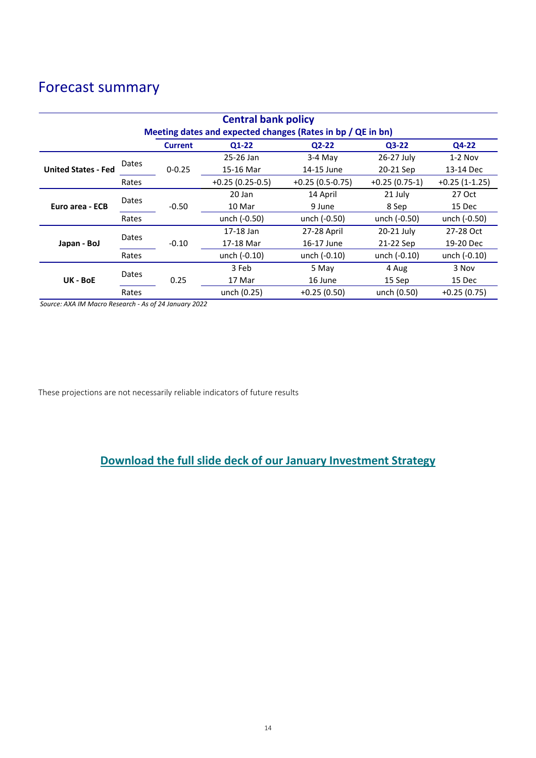# Forecast summary

| <b>Central bank policy</b>                                  |       |                |                   |                   |                 |                 |  |  |  |
|-------------------------------------------------------------|-------|----------------|-------------------|-------------------|-----------------|-----------------|--|--|--|
| Meeting dates and expected changes (Rates in bp / QE in bn) |       |                |                   |                   |                 |                 |  |  |  |
|                                                             |       | <b>Current</b> | $Q1-22$           | $Q2-22$           | $Q3-22$         | Q4-22           |  |  |  |
|                                                             | Dates |                | 25-26 Jan         | $3-4$ May         | 26-27 July      | $1-2$ Nov       |  |  |  |
| <b>United States - Fed</b>                                  |       | $0 - 0.25$     | 15-16 Mar         | 14-15 June        | 20-21 Sep       | 13-14 Dec       |  |  |  |
|                                                             | Rates |                | $+0.25(0.25-0.5)$ | $+0.25(0.5-0.75)$ | $+0.25(0.75-1)$ | $+0.25(1-1.25)$ |  |  |  |
| Euro area - ECB                                             | Dates | $-0.50$        | 20 Jan            | 14 April          | 21 July         | 27 Oct          |  |  |  |
|                                                             |       |                | 10 Mar            | 9 June            | 8 Sep           | 15 Dec          |  |  |  |
|                                                             | Rates |                | unch (-0.50)      | unch (-0.50)      | unch (-0.50)    | unch (-0.50)    |  |  |  |
| Japan - BoJ                                                 | Dates |                | 17-18 Jan         | 27-28 April       |                 | 27-28 Oct       |  |  |  |
|                                                             |       | $-0.10$        | 17-18 Mar         | 16-17 June        | 21-22 Sep       | 19-20 Dec       |  |  |  |
|                                                             | Rates |                | unch (-0.10)      | unch (-0.10)      | unch (-0.10)    | unch (-0.10)    |  |  |  |
| UK - BoE                                                    | Dates | 0.25           | 3 Feb             | 5 May             | 4 Aug           | 3 Nov           |  |  |  |
|                                                             |       |                | 17 Mar            | 16 June           | 15 Sep          | 15 Dec          |  |  |  |
|                                                             | Rates |                | unch (0.25)       | $+0.25(0.50)$     | unch (0.50)     | $+0.25(0.75)$   |  |  |  |

*Source: AXA IM Macro Research - As of 24 January 2022*

These projections are not necessarily reliable indicators of future results

### **[Download the full slide deck of our January Investment Strategy](https://www.axa-im.com/sites/default/files/insight/pdf/axa-im-research-strategy-deck-en-2022-01_0.pdf)**